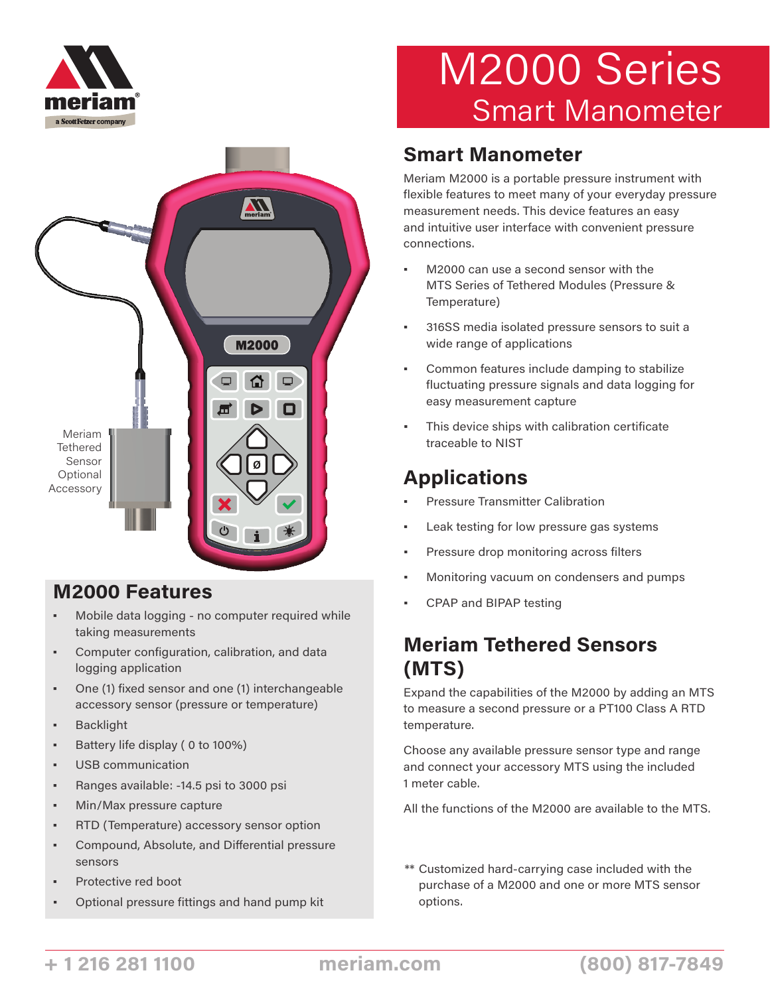



### **M2000 Features**

- Mobile data logging no computer required while taking measurements
- Computer configuration, calibration, and data logging application
- One (1) fixed sensor and one (1) interchangeable accessory sensor (pressure or temperature)
- Backlight
- Battery life display (0 to 100%)
- USB communication
- Ranges available: -14.5 psi to 3000 psi
- Min/Max pressure capture
- RTD (Temperature) accessory sensor option
- Compound, Absolute, and Differential pressure sensors
- Protective red boot
- Optional pressure fittings and hand pump kit

# M2000 Series Smart Manometer

### **Smart Manometer**

Meriam M2000 is a portable pressure instrument with flexible features to meet many of your everyday pressure measurement needs. This device features an easy and intuitive user interface with convenient pressure connections.

- M2000 can use a second sensor with the MTS Series of Tethered Modules (Pressure & Temperature)
- 316SS media isolated pressure sensors to suit a wide range of applications
- Common features include damping to stabilize fluctuating pressure signals and data logging for easy measurement capture
- This device ships with calibration certificate traceable to NIST

### **Applications**

- **Pressure Transmitter Calibration**
- Leak testing for low pressure gas systems
- Pressure drop monitoring across filters
- Monitoring vacuum on condensers and pumps
- CPAP and BIPAP testing

### **Meriam Tethered Sensors (MTS)**

Expand the capabilities of the M2000 by adding an MTS to measure a second pressure or a PT100 Class A RTD temperature.

Choose any available pressure sensor type and range and connect your accessory MTS using the included 1 meter cable.

All the functions of the M2000 are available to the MTS.

\*\* Customized hard-carrying case included with the purchase of a M2000 and one or more MTS sensor options.